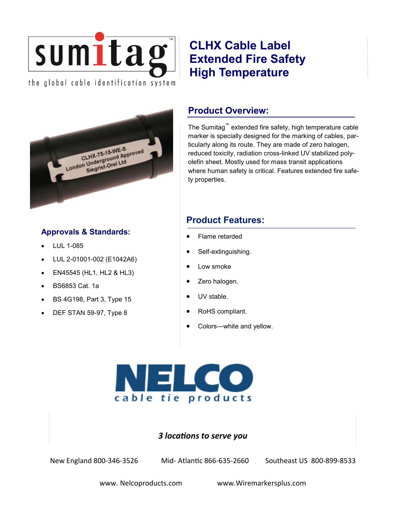

# **CLHX Cable Label Extended Fire Safety High Temperature**



## **Approvals & Standards:**

- LUL 1-085
- LUL 2-01001-002 (E1042A6)
- EN45545 (HL1, HL2 & HL3)
- BS6853 Cat. 1a
- BS 4G198, Part 3, Type 15
- DEF STAN 59-97, Type 8

## **Product Overview:**

The Sumitag™ extended fire safety, high temperature cable marker is specially designed for the marking of cables, particularly along its route. They are made of zero halogen, reduced toxicity, radiation cross-linked UV stabilized polyolefin sheet. Mostly used for mass transit applications where human safety is critical. Features extended fire safety properties.

## **Product Features:**

- Flame retarded
- Self-extinguishing.
- Low smoke
- Zero halogen.
- UV stable.
- RoHS compliant.
- Colors—white and yellow.



### *3 locations to serve you*

New England 800-346-3526 Mid- Atlantic 866-635-2660 Southeast US 800-899-8533

www. Nelcoproducts.com www.Wiremarkersplus.com